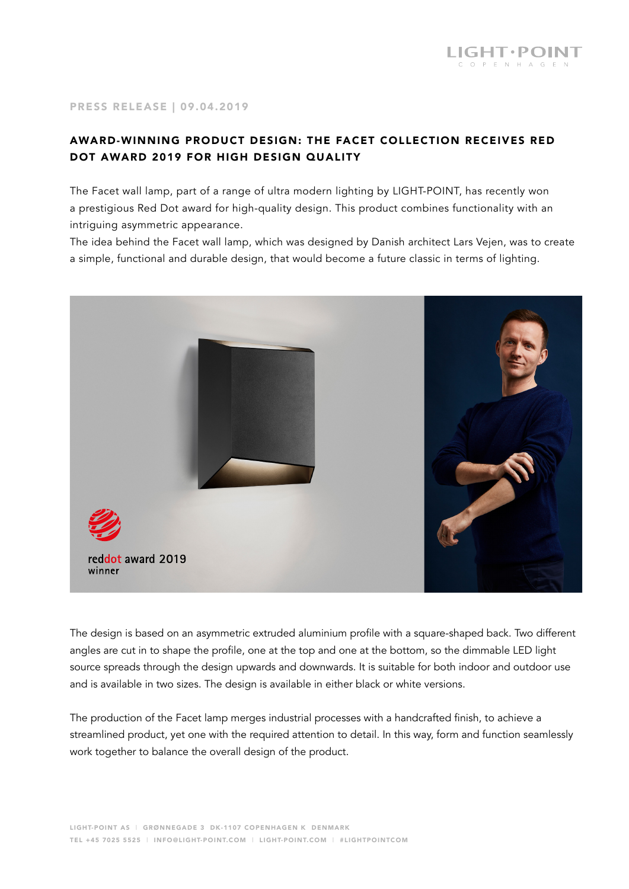## PRESS RELEASE | 09.04.2019

## AWARD-WINNING PRODUCT DESIGN: THE FACET COLLECTION RECEIVES RED DOT AWARD 2019 FOR HIGH DESIGN QUALITY

The Facet wall lamp, part of a range of ultra modern lighting by LIGHT-POINT, has recently won a prestigious Red Dot award for high-quality design. This product combines functionality with an intriguing asymmetric appearance.

The idea behind the Facet wall lamp, which was designed by Danish architect Lars Vejen, was to create a simple, functional and durable design, that would become a future classic in terms of lighting.



The design is based on an asymmetric extruded aluminium profile with a square-shaped back. Two different angles are cut in to shape the profile, one at the top and one at the bottom, so the dimmable LED light source spreads through the design upwards and downwards. It is suitable for both indoor and outdoor use and is available in two sizes. The design is available in either black or white versions.

The production of the Facet lamp merges industrial processes with a handcrafted finish, to achieve a streamlined product, yet one with the required attention to detail. In this way, form and function seamlessly work together to balance the overall design of the product.